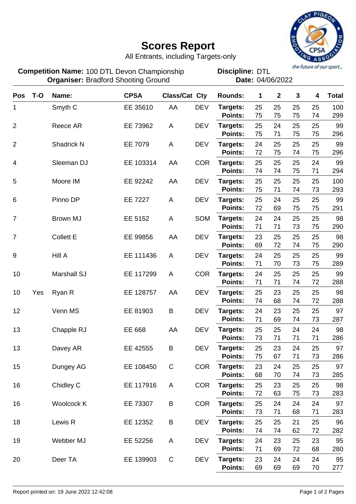

## **Scores Report**

All Entrants, including Targets-only

100 DTL Devon Championship **Discipline: DTL Organiser: Bradford Shooting Ground Cross Contract Pate: 04/06/2022 Competition Name:**

**Discipline:**

| <b>Pos</b>     | $T-O$ | Name:              | <b>CPSA</b> | Class/Cat Cty |            | <b>Rounds:</b>      | 1        | $\mathbf{2}$ | $\mathbf{3}$ | 4        | <b>Total</b> |
|----------------|-------|--------------------|-------------|---------------|------------|---------------------|----------|--------------|--------------|----------|--------------|
| 1              |       | Smyth <sub>C</sub> | EE 35610    | AA            | <b>DEV</b> | Targets:            | 25       | 25           | 25           | 25       | 100          |
|                |       |                    |             |               |            | Points:             | 75       | 75           | 75           | 74       | 299          |
| $\overline{2}$ |       | Reece AR           | EE 73962    | A             | <b>DEV</b> | Targets:            | 25       | 24           | 25           | 25       | 99           |
|                |       |                    |             |               |            | Points:             | 75       | 71           | 75           | 75       | 296          |
| $\overline{2}$ |       | Shadrick N         | EE 7079     | A             | <b>DEV</b> | Targets:            | 24       | 25           | 25           | 25       | 99           |
|                |       |                    |             |               |            | Points:             | 72       | 75           | 74           | 75       | 296          |
| 4              |       | Sleeman DJ         | EE 103314   | AA            | <b>COR</b> | Targets:            | 25       | 25           | 25           | 24       | 99           |
|                |       |                    |             |               |            | <b>Points:</b>      | 74       | 74           | 75           | 71       | 294          |
| 5              |       | Moore IM           | EE 92242    | AA            | <b>DEV</b> | Targets:            | 25       | 25           | 25           | 25       | 100          |
|                |       |                    |             |               |            | Points:             | 75       | 71           | 74           | 73       | 293          |
| 6              |       | Pinno DP           | EE 7227     | Α             | <b>DEV</b> | Targets:            | 25       | 24           | 25           | 25       | 99           |
|                |       |                    |             |               |            | Points:             | 72       | 69           | 75           | 75       | 291          |
| $\overline{7}$ |       | <b>Brown MJ</b>    | EE 5152     | A             | <b>SOM</b> | Targets:            | 24       | 24           | 25           | 25       | 98           |
|                |       |                    |             |               |            | Points:             | 71       | 71           | 73           | 75       | 290          |
| 7              |       | <b>Collett E</b>   | EE 99856    | AA            | <b>DEV</b> | Targets:<br>Points: | 23<br>69 | 25<br>72     | 25<br>74     | 25<br>75 | 98<br>290    |
|                |       |                    |             |               |            |                     |          |              |              |          |              |
| 9              |       | Hill A             | EE 111436   | A             | <b>DEV</b> | Targets:<br>Points: | 24<br>71 | 25<br>70     | 25<br>73     | 25<br>75 | 99<br>289    |
|                |       |                    |             |               |            |                     |          |              |              |          |              |
| 10             |       | <b>Marshall SJ</b> | EE 117299   | A             | <b>COR</b> | Targets:<br>Points: | 24<br>71 | 25<br>71     | 25<br>74     | 25<br>72 | 99<br>288    |
|                |       |                    |             | AA            | <b>DEV</b> |                     | 25       | 23           | 25           | 25       | 98           |
| 10             | Yes   | Ryan R             | EE 128757   |               |            | Targets:<br>Points: | 74       | 68           | 74           | 72       | 288          |
| 12             |       | Venn MS            | EE 81903    | B             | <b>DEV</b> | Targets:            | 24       | 23           | 25           | 25       | 97           |
|                |       |                    |             |               |            | Points:             | 71       | 69           | 74           | 73       | 287          |
| 13             |       | Chapple RJ         | EE 668      | AA            | <b>DEV</b> | Targets:            | 25       | 25           | 24           | 24       | 98           |
|                |       |                    |             |               |            | Points:             | 73       | 71           | 71           | 71       | 286          |
| 13             |       | Davey AR           | EE 42555    | B             | <b>DEV</b> | Targets:            | 25       | 23           | 24           | 25       | 97           |
|                |       |                    |             |               |            | Points:             | 75       | 67           | 71           | 73       | 286          |
| 15             |       | Dungey AG          | EE 108450   | $\mathsf C$   | <b>COR</b> | Targets:            | 23       | 24           | 25           | 25       | 97           |
|                |       |                    |             |               |            | Points:             | 68       | 70           | 74           | 73       | 285          |
| 16             |       | Chidley C          | EE 117916   | A             | <b>COR</b> | Targets:            | 25       | 23           | 25           | 25       | 98           |
|                |       |                    |             |               |            | Points:             | 72       | 63           | 75           | 73       | 283          |
| 16             |       | Woolcock K         | EE 73307    | B             | <b>COR</b> | Targets:            | 25       | 24           | 24           | 24       | 97           |
|                |       |                    |             |               |            | Points:             | 73       | 71           | 68           | 71       | 283          |
| 18             |       | Lewis R            | EE 12352    | B             | <b>DEV</b> | Targets:            | 25       | 25           | 21           | 25       | 96           |
|                |       |                    |             |               |            | Points:             | 74       | 74           | 62           | 72       | 282          |
| 19             |       | Webber MJ          | EE 52256    | A             | <b>DEV</b> | Targets:            | 24       | 23           | 25           | 23       | 95           |
|                |       |                    |             |               |            | Points:             | 71       | 69           | 72           | 68       | 280          |
| 20             |       | Deer TA            | EE 139903   | $\mathbf C$   | <b>DEV</b> | Targets:            | 23       | 24           | 24           | 24       | 95           |
|                |       |                    |             |               |            | Points:             | 69       | 69           | 69           | 70       | 277          |